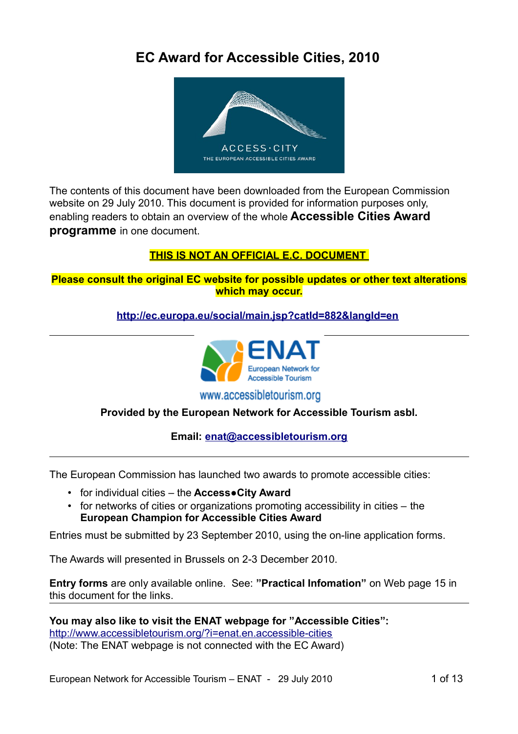### **EC Award for Accessible Cities, 2010**



The contents of this document have been downloaded from the European Commission website on 29 July 2010. This document is provided for information purposes only, enabling readers to obtain an overview of the whole **Accessible Cities Award programme** in one document.

### **THIS IS NOT AN OFFICIAL E.C. DOCUMENT**

**Please consult the original EC website for possible updates or other text alterations which may occur.**

### **<http://ec.europa.eu/social/main.jsp?catId=882&langId=en>**



www.accessibletourism.org

### **Provided by the European Network for Accessible Tourism asbl.**

### **Email: [enat@accessibletourism.org](mailto:enat@accessibletourism.org)**

The European Commission has launched two awards to promote accessible cities:

- for individual cities the **Access●City Award**
- for networks of cities or organizations promoting accessibility in cities the **European Champion for Accessible Cities Award**

Entries must be submitted by 23 September 2010, using the on-line application forms.

The Awards will presented in Brussels on 2-3 December 2010.

**Entry forms** are only available online. See: **"Practical Infomation"** on Web page 15 in this document for the links.

**You may also like to visit the ENAT webpage for "Accessible Cities":**  <http://www.accessibletourism.org/?i=enat.en.accessible-cities> (Note: The ENAT webpage is not connected with the EC Award)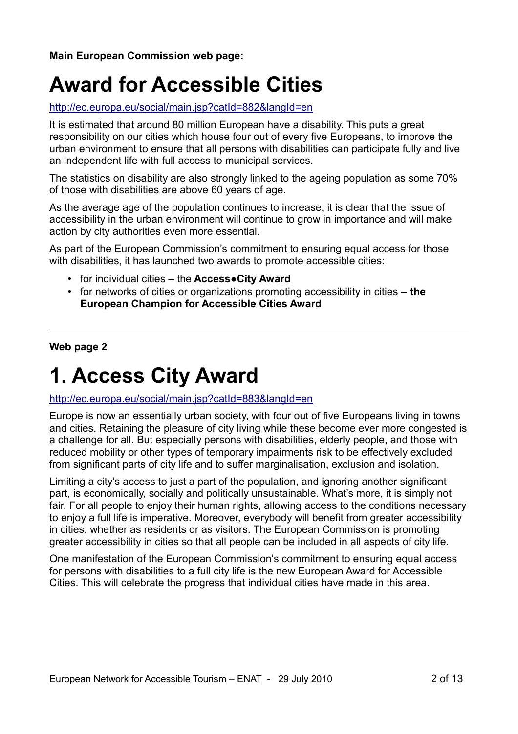**Main European Commission web page:**

### **Award for Accessible Cities**

### <http://ec.europa.eu/social/main.jsp?catId=882&langId=en>

It is estimated that around 80 million European have a disability. This puts a great responsibility on our cities which house four out of every five Europeans, to improve the urban environment to ensure that all persons with disabilities can participate fully and live an independent life with full access to municipal services.

The statistics on disability are also strongly linked to the ageing population as some 70% of those with disabilities are above 60 years of age.

As the average age of the population continues to increase, it is clear that the issue of accessibility in the urban environment will continue to grow in importance and will make action by city authorities even more essential.

As part of the European Commission's commitment to ensuring equal access for those with disabilities, it has launched two awards to promote accessible cities:

- for individual cities the **Access●City Award**
- for networks of cities or organizations promoting accessibility in cities **the European Champion for Accessible Cities Award**

**Web page 2**

### **1. Access City Award**

#### <http://ec.europa.eu/social/main.jsp?catId=883&langId=en>

Europe is now an essentially urban society, with four out of five Europeans living in towns and cities. Retaining the pleasure of city living while these become ever more congested is a challenge for all. But especially persons with disabilities, elderly people, and those with reduced mobility or other types of temporary impairments risk to be effectively excluded from significant parts of city life and to suffer marginalisation, exclusion and isolation.

Limiting a city's access to just a part of the population, and ignoring another significant part, is economically, socially and politically unsustainable. What's more, it is simply not fair. For all people to enjoy their human rights, allowing access to the conditions necessary to enjoy a full life is imperative. Moreover, everybody will benefit from greater accessibility in cities, whether as residents or as visitors. The European Commission is promoting greater accessibility in cities so that all people can be included in all aspects of city life.

One manifestation of the European Commission's commitment to ensuring equal access for persons with disabilities to a full city life is the new European Award for Accessible Cities. This will celebrate the progress that individual cities have made in this area.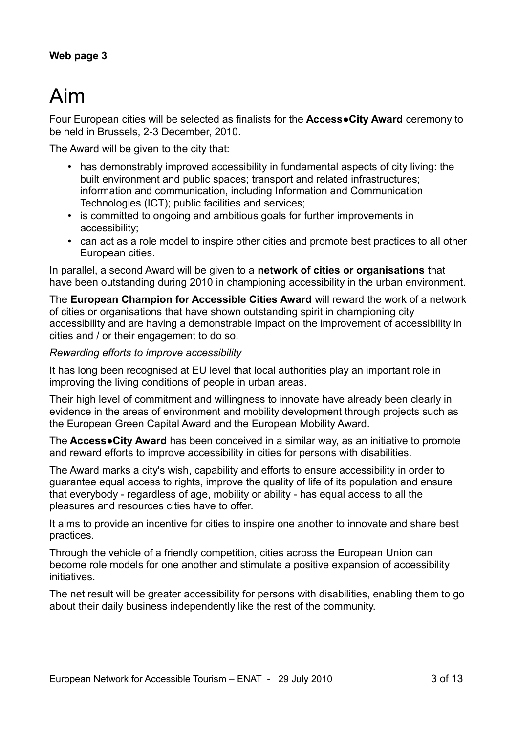### **Web page 3**

# Aim

Four European cities will be selected as finalists for the **Access●City Award** ceremony to be held in Brussels, 2-3 December, 2010.

The Award will be given to the city that:

- has demonstrably improved accessibility in fundamental aspects of city living: the built environment and public spaces; transport and related infrastructures; information and communication, including Information and Communication Technologies (ICT); public facilities and services;
- is committed to ongoing and ambitious goals for further improvements in accessibility;
- can act as a role model to inspire other cities and promote best practices to all other European cities.

In parallel, a second Award will be given to a **network of cities or organisations** that have been outstanding during 2010 in championing accessibility in the urban environment.

The **European Champion for Accessible Cities Award** will reward the work of a network of cities or organisations that have shown outstanding spirit in championing city accessibility and are having a demonstrable impact on the improvement of accessibility in cities and / or their engagement to do so.

### *Rewarding efforts to improve accessibility*

It has long been recognised at EU level that local authorities play an important role in improving the living conditions of people in urban areas.

Their high level of commitment and willingness to innovate have already been clearly in evidence in the areas of environment and mobility development through projects such as the European Green Capital Award and the European Mobility Award.

The **Access●City Award** has been conceived in a similar way, as an initiative to promote and reward efforts to improve accessibility in cities for persons with disabilities.

The Award marks a city's wish, capability and efforts to ensure accessibility in order to guarantee equal access to rights, improve the quality of life of its population and ensure that everybody - regardless of age, mobility or ability - has equal access to all the pleasures and resources cities have to offer.

It aims to provide an incentive for cities to inspire one another to innovate and share best practices.

Through the vehicle of a friendly competition, cities across the European Union can become role models for one another and stimulate a positive expansion of accessibility initiatives.

The net result will be greater accessibility for persons with disabilities, enabling them to go about their daily business independently like the rest of the community.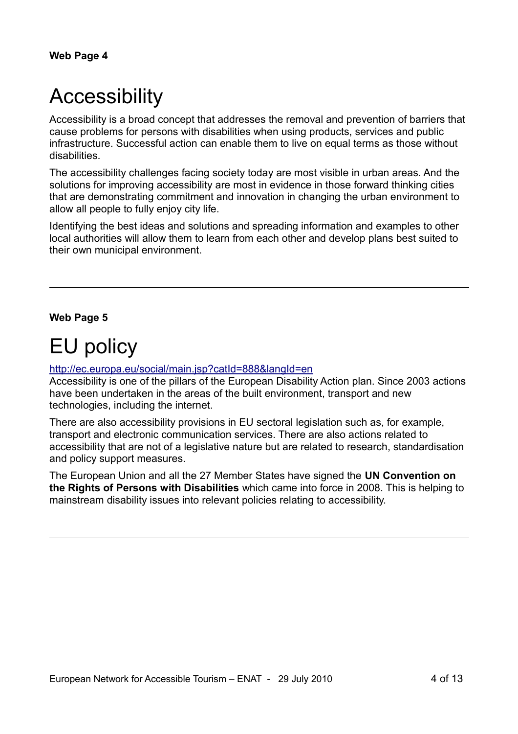# **Accessibility**

Accessibility is a broad concept that addresses the removal and prevention of barriers that cause problems for persons with disabilities when using products, services and public infrastructure. Successful action can enable them to live on equal terms as those without disabilities.

The accessibility challenges facing society today are most visible in urban areas. And the solutions for improving accessibility are most in evidence in those forward thinking cities that are demonstrating commitment and innovation in changing the urban environment to allow all people to fully enjoy city life.

Identifying the best ideas and solutions and spreading information and examples to other local authorities will allow them to learn from each other and develop plans best suited to their own municipal environment.

### **Web Page 5**

# EU policy

### <http://ec.europa.eu/social/main.jsp?catId=888&langId=en>

Accessibility is one of the pillars of the European Disability Action plan. Since 2003 actions have been undertaken in the areas of the built environment, transport and new technologies, including the internet.

There are also accessibility provisions in EU sectoral legislation such as, for example, transport and electronic communication services. There are also actions related to accessibility that are not of a legislative nature but are related to research, standardisation and policy support measures.

The European Union and all the 27 Member States have signed the **UN Convention on the Rights of Persons with Disabilities** which came into force in 2008. This is helping to mainstream disability issues into relevant policies relating to accessibility.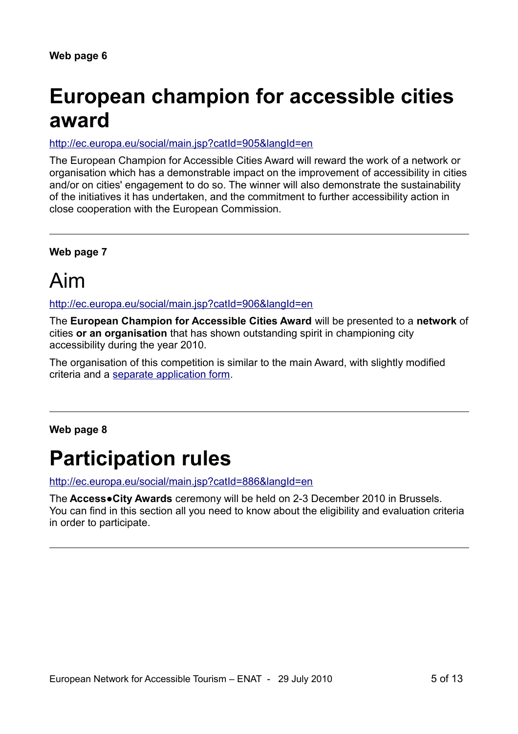# **European champion for accessible cities award**

<http://ec.europa.eu/social/main.jsp?catId=905&langId=en>

The European Champion for Accessible Cities Award will reward the work of a network or organisation which has a demonstrable impact on the improvement of accessibility in cities and/or on cities' engagement to do so. The winner will also demonstrate the sustainability of the initiatives it has undertaken, and the commitment to further accessibility action in close cooperation with the European Commission.

**Web page 7**

### Aim

<http://ec.europa.eu/social/main.jsp?catId=906&langId=en>

The **European Champion for Accessible Cities Award** will be presented to a **network** of cities **or an organisation** that has shown outstanding spirit in championing city accessibility during the year 2010.

The organisation of this competition is similar to the main Award, with slightly modified criteria and a [separate application form.](http://form2.accesscityaward.eu/)

### **Web page 8**

### **Participation rules**

<http://ec.europa.eu/social/main.jsp?catId=886&langId=en>

The **Access●City Awards** ceremony will be held on 2-3 December 2010 in Brussels. You can find in this section all you need to know about the eligibility and evaluation criteria in order to participate.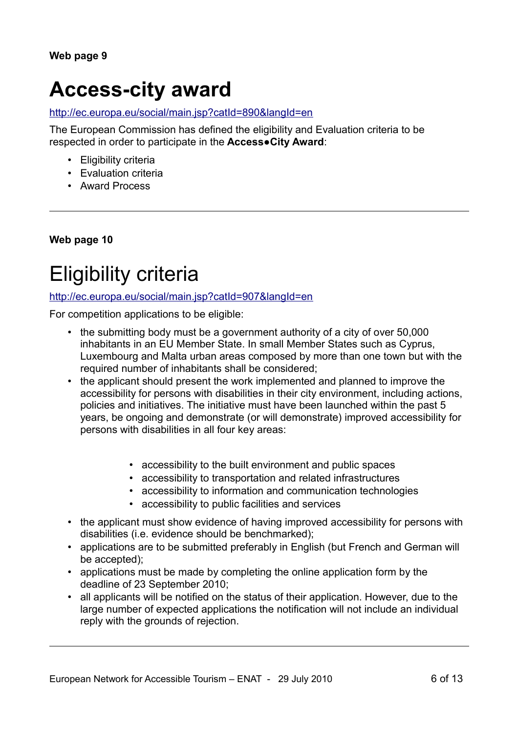# **Access-city award**

#### <http://ec.europa.eu/social/main.jsp?catId=890&langId=en>

The European Commission has defined the eligibility and Evaluation criteria to be respected in order to participate in the **Access●City Award**:

- Eligibility criteria
- Evaluation criteria
- Award Process

**Web page 10**

# Eligibility criteria

<http://ec.europa.eu/social/main.jsp?catId=907&langId=en>

For competition applications to be eligible:

- the submitting body must be a government authority of a city of over 50,000 inhabitants in an EU Member State. In small Member States such as Cyprus, Luxembourg and Malta urban areas composed by more than one town but with the required number of inhabitants shall be considered;
- the applicant should present the work implemented and planned to improve the accessibility for persons with disabilities in their city environment, including actions, policies and initiatives. The initiative must have been launched within the past 5 years, be ongoing and demonstrate (or will demonstrate) improved accessibility for persons with disabilities in all four key areas:
	- accessibility to the built environment and public spaces
	- accessibility to transportation and related infrastructures
	- accessibility to information and communication technologies
	- accessibility to public facilities and services
- the applicant must show evidence of having improved accessibility for persons with disabilities (i.e. evidence should be benchmarked);
- applications are to be submitted preferably in English (but French and German will be accepted);
- applications must be made by completing the online application form by the deadline of 23 September 2010;
- all applicants will be notified on the status of their application. However, due to the large number of expected applications the notification will not include an individual reply with the grounds of rejection.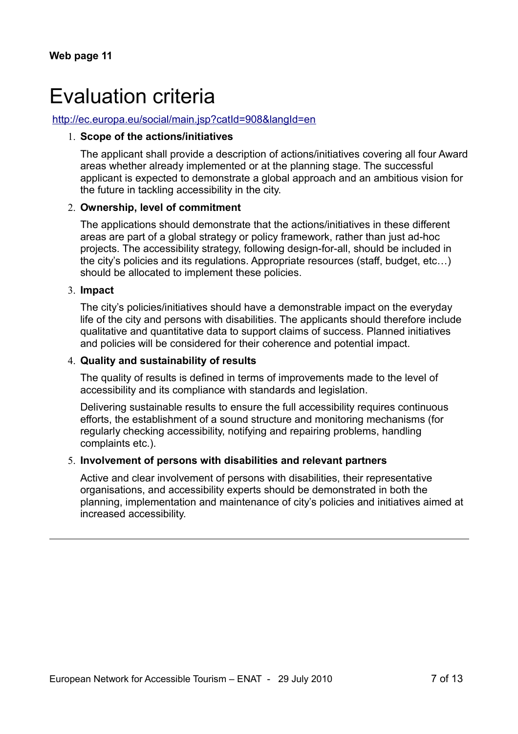### Evaluation criteria

#### <http://ec.europa.eu/social/main.jsp?catId=908&langId=en>

#### 1. **Scope of the actions/initiatives**

The applicant shall provide a description of actions/initiatives covering all four Award areas whether already implemented or at the planning stage. The successful applicant is expected to demonstrate a global approach and an ambitious vision for the future in tackling accessibility in the city.

#### 2. **Ownership, level of commitment**

The applications should demonstrate that the actions/initiatives in these different areas are part of a global strategy or policy framework, rather than just ad-hoc projects. The accessibility strategy, following design-for-all, should be included in the city's policies and its regulations. Appropriate resources (staff, budget, etc…) should be allocated to implement these policies.

#### 3. **Impact**

The city's policies/initiatives should have a demonstrable impact on the everyday life of the city and persons with disabilities. The applicants should therefore include qualitative and quantitative data to support claims of success. Planned initiatives and policies will be considered for their coherence and potential impact.

#### 4. **Quality and sustainability of results**

The quality of results is defined in terms of improvements made to the level of accessibility and its compliance with standards and legislation.

Delivering sustainable results to ensure the full accessibility requires continuous efforts, the establishment of a sound structure and monitoring mechanisms (for regularly checking accessibility, notifying and repairing problems, handling complaints etc.).

#### 5. **Involvement of persons with disabilities and relevant partners**

Active and clear involvement of persons with disabilities, their representative organisations, and accessibility experts should be demonstrated in both the planning, implementation and maintenance of city's policies and initiatives aimed at increased accessibility.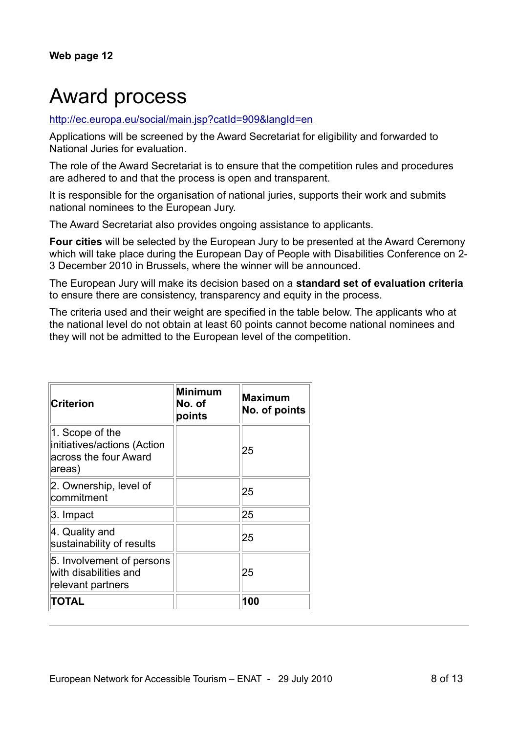# Award process

### <http://ec.europa.eu/social/main.jsp?catId=909&langId=en>

Applications will be screened by the Award Secretariat for eligibility and forwarded to National Juries for evaluation.

The role of the Award Secretariat is to ensure that the competition rules and procedures are adhered to and that the process is open and transparent.

It is responsible for the organisation of national juries, supports their work and submits national nominees to the European Jury.

The Award Secretariat also provides ongoing assistance to applicants.

**Four cities** will be selected by the European Jury to be presented at the Award Ceremony which will take place during the European Day of People with Disabilities Conference on 2- 3 December 2010 in Brussels, where the winner will be announced.

The European Jury will make its decision based on a **standard set of evaluation criteria** to ensure there are consistency, transparency and equity in the process.

The criteria used and their weight are specified in the table below. The applicants who at the national level do not obtain at least 60 points cannot become national nominees and they will not be admitted to the European level of the competition.

| <b>Criterion</b>                                                                  | <b>Minimum</b><br>No. of<br>points | <b>Maximum</b><br>No. of points |
|-----------------------------------------------------------------------------------|------------------------------------|---------------------------------|
| 1. Scope of the<br>initiatives/actions (Action<br>across the four Award<br>areas) |                                    | 25                              |
| 2. Ownership, level of<br>commitment                                              |                                    | 25                              |
| 3. Impact                                                                         |                                    | 25                              |
| 4. Quality and<br>sustainability of results                                       |                                    | 25                              |
| 5. Involvement of persons<br>with disabilities and<br>relevant partners           |                                    | 25                              |
| TOTAL                                                                             |                                    | 100                             |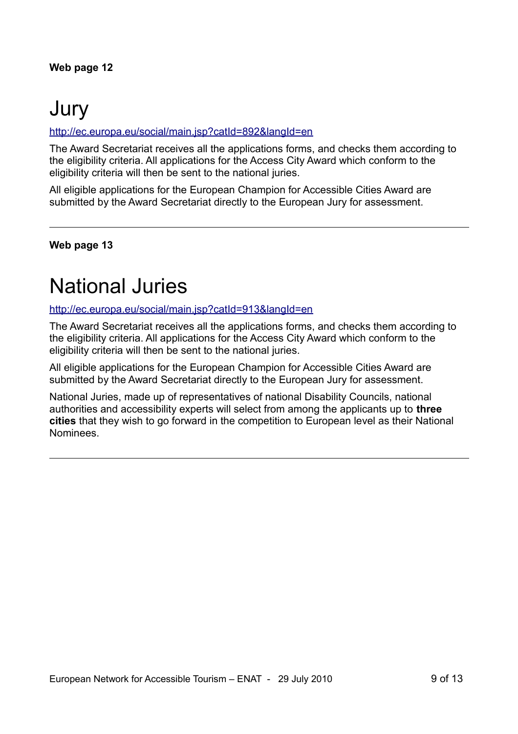# Jury

### <http://ec.europa.eu/social/main.jsp?catId=892&langId=en>

The Award Secretariat receives all the applications forms, and checks them according to the eligibility criteria. All applications for the Access City Award which conform to the eligibility criteria will then be sent to the national juries.

All eligible applications for the European Champion for Accessible Cities Award are submitted by the Award Secretariat directly to the European Jury for assessment.

### **Web page 13**

### National Juries

<http://ec.europa.eu/social/main.jsp?catId=913&langId=en>

The Award Secretariat receives all the applications forms, and checks them according to the eligibility criteria. All applications for the Access City Award which conform to the eligibility criteria will then be sent to the national juries.

All eligible applications for the European Champion for Accessible Cities Award are submitted by the Award Secretariat directly to the European Jury for assessment.

National Juries, made up of representatives of national Disability Councils, national authorities and accessibility experts will select from among the applicants up to **three cities** that they wish to go forward in the competition to European level as their National Nominees.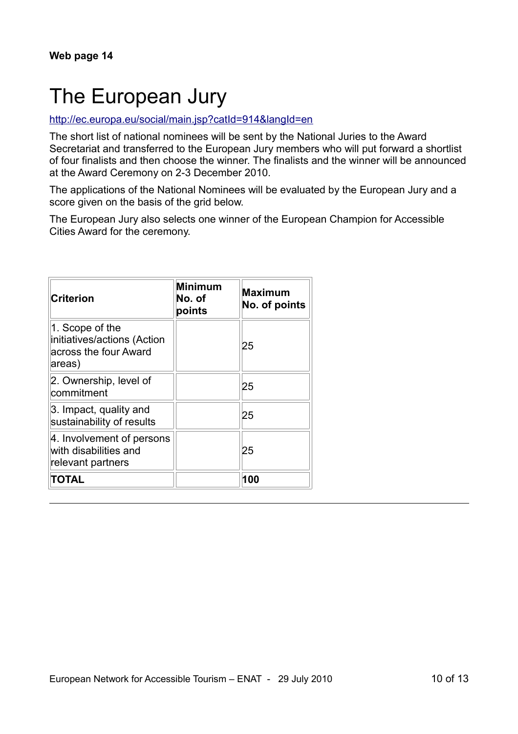# The European Jury

### <http://ec.europa.eu/social/main.jsp?catId=914&langId=en>

The short list of national nominees will be sent by the National Juries to the Award Secretariat and transferred to the European Jury members who will put forward a shortlist of four finalists and then choose the winner. The finalists and the winner will be announced at the Award Ceremony on 2-3 December 2010.

The applications of the National Nominees will be evaluated by the European Jury and a score given on the basis of the grid below.

The European Jury also selects one winner of the European Champion for Accessible Cities Award for the ceremony.

| <b>Criterion</b>                                                                  | Minimum<br>No. of<br>points | <b>Maximum</b><br>No. of points |
|-----------------------------------------------------------------------------------|-----------------------------|---------------------------------|
| 1. Scope of the<br>initiatives/actions (Action<br>across the four Award<br>areas) |                             | 25                              |
| 2. Ownership, level of<br>commitment                                              |                             | 25                              |
| 3. Impact, quality and<br>sustainability of results                               |                             | 25                              |
| 4. Involvement of persons<br>with disabilities and<br>relevant partners           |                             | 25                              |
| <b>TOTAL</b>                                                                      |                             | 100                             |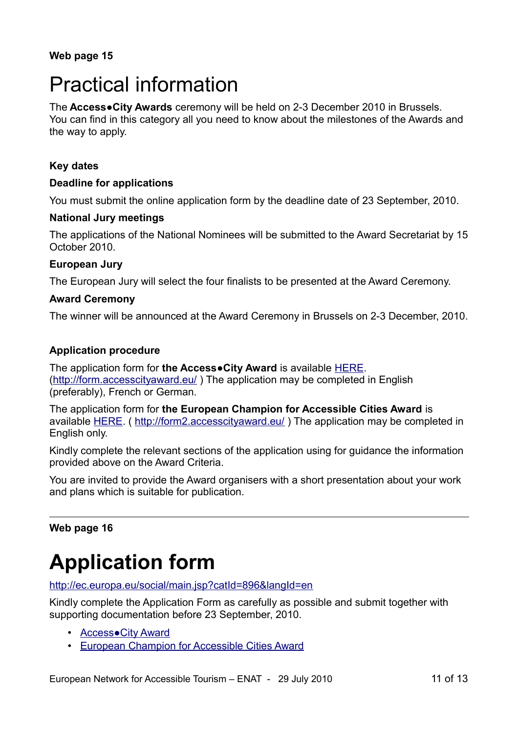# Practical information

The **Access●City Awards** ceremony will be held on 2-3 December 2010 in Brussels. You can find in this category all you need to know about the milestones of the Awards and the way to apply.

### **Key dates**

### **Deadline for applications**

You must submit the online application form by the deadline date of 23 September, 2010.

### **National Jury meetings**

The applications of the National Nominees will be submitted to the Award Secretariat by 15 October 2010.

### **European Jury**

The European Jury will select the four finalists to be presented at the Award Ceremony.

### **Award Ceremony**

The winner will be announced at the Award Ceremony in Brussels on 2-3 December, 2010.

### **Application procedure**

The application form for **the Access●City Award** is available [HERE.](http://form.accesscityaward.eu/) [\(http://form.accesscityaward.eu/](http://form.accesscityaward.eu/) ) The application may be completed in English (preferably), French or German.

The application form for **the European Champion for Accessible Cities Award** is available [HERE.](http://form2.accesscityaward.eu/) (<http://form2.accesscityaward.eu/>) The application may be completed in English only.

Kindly complete the relevant sections of the application using for guidance the information provided above on the Award Criteria.

You are invited to provide the Award organisers with a short presentation about your work and plans which is suitable for publication.

### **Web page 16**

# **Application form**

<http://ec.europa.eu/social/main.jsp?catId=896&langId=en>

Kindly complete the Application Form as carefully as possible and submit together with supporting documentation before 23 September, 2010.

- • [Access●City Award](http://form.accesscityaward.eu/)
- [European Champion for Accessible Cities Award](http://form2.accesscityaward.eu/)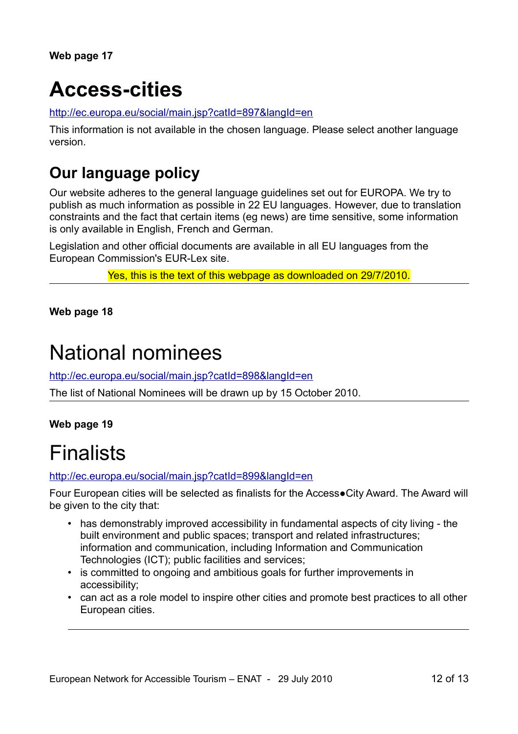**Web page 17**

# **Access-cities**

<http://ec.europa.eu/social/main.jsp?catId=897&langId=en>

This information is not available in the chosen language. Please select another language version.

### **Our language policy**

Our website adheres to the general language guidelines set out for EUROPA. We try to publish as much information as possible in 22 EU languages. However, due to translation constraints and the fact that certain items (eg news) are time sensitive, some information is only available in English, French and German.

Legislation and other official documents are available in all EU languages from the European Commission's EUR-Lex site.

Yes, this is the text of this webpage as downloaded on 29/7/2010.

**Web page 18**

### National nominees

<http://ec.europa.eu/social/main.jsp?catId=898&langId=en>

The list of National Nominees will be drawn up by 15 October 2010.

### **Web page 19**

### Finalists

<http://ec.europa.eu/social/main.jsp?catId=899&langId=en>

Four European cities will be selected as finalists for the Access●City Award. The Award will be given to the city that:

- has demonstrably improved accessibility in fundamental aspects of city living the built environment and public spaces; transport and related infrastructures; information and communication, including Information and Communication Technologies (ICT); public facilities and services;
- is committed to ongoing and ambitious goals for further improvements in accessibility;
- can act as a role model to inspire other cities and promote best practices to all other European cities.